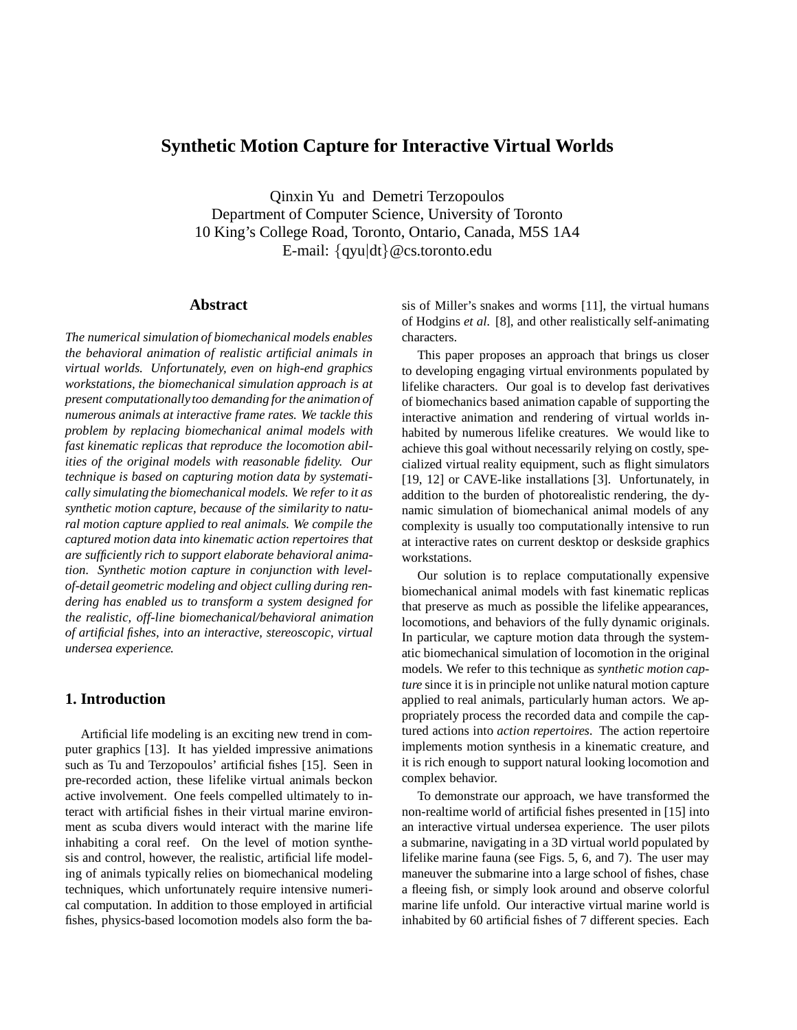# **Synthetic Motion Capture for Interactive Virtual Worlds**

Qinxin Yu and Demetri Terzopoulos Department of Computer Science, University of Toronto 10 King's College Road, Toronto, Ontario, Canada, M5S 1A4 E-mail:  $\{q$ yu $|dt\}$ @cs.toronto.edu

#### **Abstract**

*The numerical simulation of biomechanical models enables the behavioral animation of realistic artificial animals in virtual worlds. Unfortunately, even on high-end graphics workstations, the biomechanical simulation approach is at present computationallytoo demanding for the animation of numerous animals at interactive frame rates. We tackle this problem by replacing biomechanical animal models with fast kinematic replicas that reproduce the locomotion abilities of the original models with reasonable fidelity. Our technique is based on capturing motion data by systematically simulating the biomechanical models. We refer to it as synthetic motion capture, because of the similarity to natural motion capture applied to real animals. We compile the captured motion data into kinematic action repertoires that are sufficiently rich to support elaborate behavioral animation. Synthetic motion capture in conjunction with levelof-detail geometric modeling and object culling during rendering has enabled us to transform a system designed for the realistic, off-line biomechanical/behavioral animation of artificial fishes, into an interactive, stereoscopic, virtual undersea experience.*

### **1. Introduction**

Artificial life modeling is an exciting new trend in computer graphics [13]. It has yielded impressive animations such as Tu and Terzopoulos' artificial fishes [15]. Seen in pre-recorded action, these lifelike virtual animals beckon active involvement. One feels compelled ultimately to interact with artificial fishes in their virtual marine environment as scuba divers would interact with the marine life inhabiting a coral reef. On the level of motion synthesis and control, however, the realistic, artificial life modeling of animals typically relies on biomechanical modeling techniques, which unfortunately require intensive numerical computation. In addition to those employed in artificial fishes, physics-based locomotion models also form the basis of Miller's snakes and worms [11], the virtual humans of Hodgins *et al.* [8], and other realistically self-animating characters.

This paper proposes an approach that brings us closer to developing engaging virtual environments populated by lifelike characters. Our goal is to develop fast derivatives of biomechanics based animation capable of supporting the interactive animation and rendering of virtual worlds inhabited by numerous lifelike creatures. We would like to achieve this goal without necessarily relying on costly, specialized virtual reality equipment, such as flight simulators [19, 12] or CAVE-like installations [3]. Unfortunately, in addition to the burden of photorealistic rendering, the dynamic simulation of biomechanical animal models of any complexity is usually too computationally intensive to run at interactive rates on current desktop or deskside graphics workstations.

Our solution is to replace computationally expensive biomechanical animal models with fast kinematic replicas that preserve as much as possible the lifelike appearances, locomotions, and behaviors of the fully dynamic originals. In particular, we capture motion data through the systematic biomechanical simulation of locomotion in the original models. We refer to this technique as *synthetic motion capture* since it is in principle not unlike natural motion capture applied to real animals, particularly human actors. We appropriately process the recorded data and compile the captured actions into *action repertoires*. The action repertoire implements motion synthesis in a kinematic creature, and it is rich enough to support natural looking locomotion and complex behavior.

To demonstrate our approach, we have transformed the non-realtime world of artificial fishes presented in [15] into an interactive virtual undersea experience. The user pilots a submarine, navigating in a 3D virtual world populated by lifelike marine fauna (see Figs. 5, 6, and 7). The user may maneuver the submarine into a large school of fishes, chase a fleeing fish, or simply look around and observe colorful marine life unfold. Our interactive virtual marine world is inhabited by 60 artificial fishes of 7 different species. Each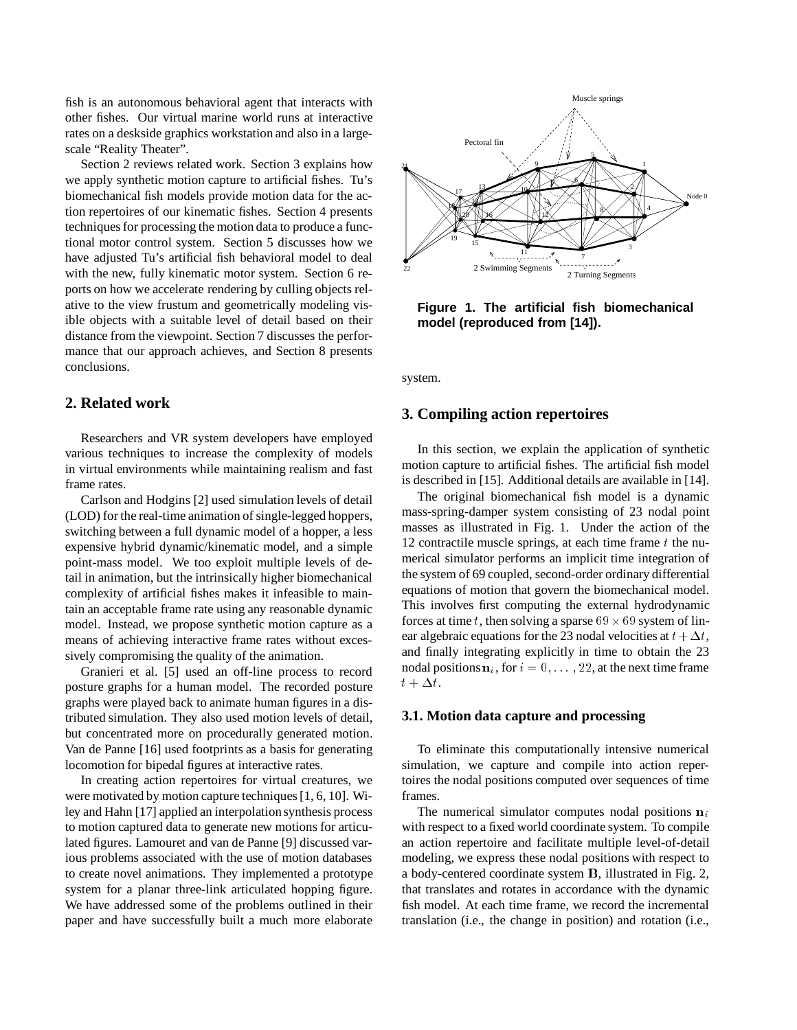fish is an autonomous behavioral agent that interacts with other fishes. Our virtual marine world runs at interactive rates on a deskside graphics workstation and also in a largescale "Reality Theater".

Section 2 reviews related work. Section 3 explains how we apply synthetic motion capture to artificial fishes. Tu's biomechanical fish models provide motion data for the action repertoires of our kinematic fishes. Section 4 presents techniques for processing the motion data to produce a functional motor control system. Section 5 discusses how we have adjusted Tu's artificial fish behavioral model to deal with the new, fully kinematic motor system. Section 6 reports on how we accelerate rendering by culling objects relative to the view frustum and geometrically modeling visible objects with a suitable level of detail based on their distance from the viewpoint. Section 7 discusses the performance that our approach achieves, and Section 8 presents conclusions.

# **2. Related work**

Researchers and VR system developers have employed various techniques to increase the complexity of models in virtual environments while maintaining realism and fast frame rates.

Carlson and Hodgins [2] used simulation levels of detail (LOD) for the real-time animation of single-legged hoppers, switching between a full dynamic model of a hopper, a less expensive hybrid dynamic/kinematic model, and a simple point-mass model. We too exploit multiple levels of detail in animation, but the intrinsically higher biomechanical complexity of artificial fishes makes it infeasible to maintain an acceptable frame rate using any reasonable dynamic model. Instead, we propose synthetic motion capture as a means of achieving interactive frame rates without excessively compromising the quality of the animation.

Granieri et al. [5] used an off-line process to record posture graphs for a human model. The recorded posture graphs were played back to animate human figures in a distributed simulation. They also used motion levels of detail, but concentrated more on procedurally generated motion. Van de Panne [16] used footprints as a basis for generating locomotion for bipedal figures at interactive rates.

In creating action repertoires for virtual creatures, we were motivated by motion capture techniques [1, 6, 10]. Wiley and Hahn [17] applied an interpolationsynthesis process to motion captured data to generate new motions for articulated figures. Lamouret and van de Panne [9] discussed various problems associated with the use of motion databases to create novel animations. They implemented a prototype system for a planar three-link articulated hopping figure. We have addressed some of the problems outlined in their paper and have successfully built a much more elaborate



**Figure 1. The artificial fish biomechanical model (reproduced from [14]).**

system.

### **3. Compiling action repertoires**

In this section, we explain the application of synthetic motion capture to artificial fishes. The artificial fish model is described in [15]. Additional details are available in [14].

The original biomechanical fish model is a dynamic mass-spring-damper system consisting of 23 nodal point masses as illustrated in Fig. 1. Under the action of the 12 contractile muscle springs, at each time frame  $t$  the numerical simulator performs an implicit time integration of the system of 69 coupled, second-order ordinary differential equations of motion that govern the biomechanical model. This involves first computing the external hydrodynamic forces at time t, then solving a sparse  $69 \times 69$  system of linear algebraic equations for the 23 nodal velocities at  $t + \Delta t$ , and finally integrating explicitly in time to obtain the 23 nodal positions  $n_i$ , for  $i = 0, \ldots, 22$ , at the next time frame  $t + \Delta t$ .

#### **3.1. Motion data capture and processing**

To eliminate this computationally intensive numerical simulation, we capture and compile into action repertoires the nodal positions computed over sequences of time frames.

The numerical simulator computes nodal positions  $n_i$ with respect to a fixed world coordinate system. To compile an action repertoire and facilitate multiple level-of-detail modeling, we express these nodal positions with respect to a body-centered coordinate system <sup>B</sup>, illustrated in Fig. 2, that translates and rotates in accordance with the dynamic fish model. At each time frame, we record the incremental translation (i.e., the change in position) and rotation (i.e.,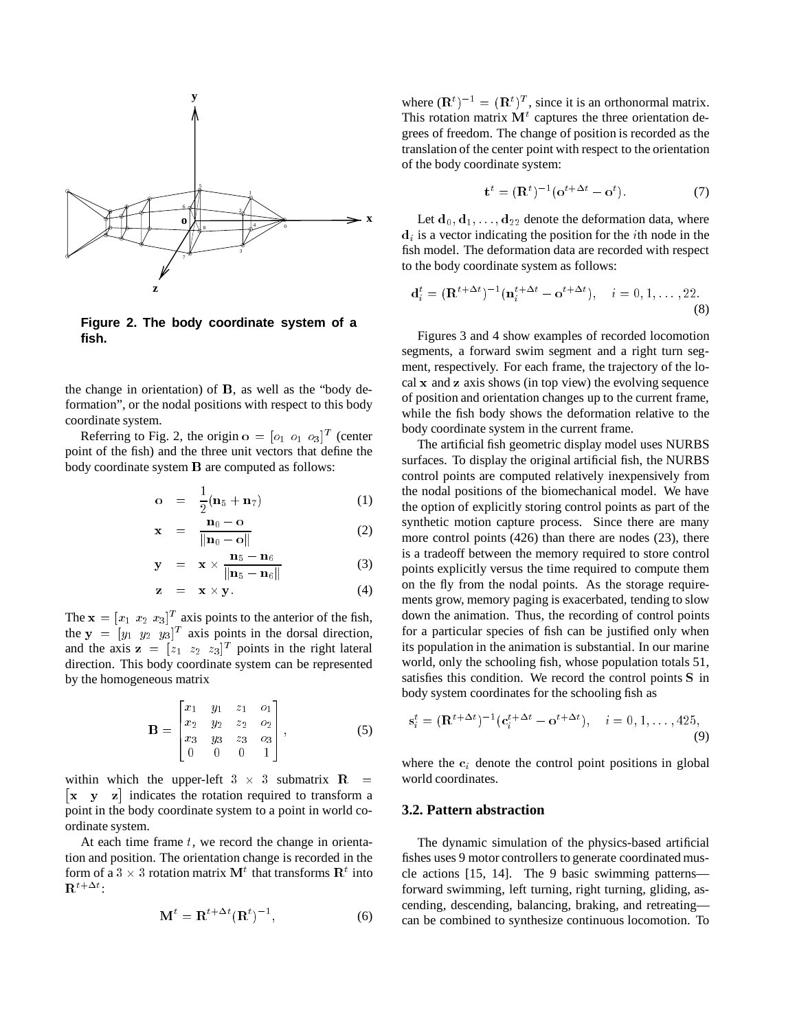

**Figure 2. The body coordinate system of a fish.**

the change in orientation) of <sup>B</sup>, as well as the "body deformation", or the nodal positions with respect to this body coordinate system.

Referring to Fig. 2, the origin  $o = [o_1 \ o_1 \ o_3]^T$  (center point of the fish) and the three unit vectors that define the body coordinate system <sup>B</sup> are computed as follows:

$$
\mathbf{o} = \frac{1}{2}(\mathbf{n}_5 + \mathbf{n}_7) \tag{1}
$$

$$
\mathbf{x} = \frac{\mathbf{n}_0 - \mathbf{o}}{\|\mathbf{n}_0 - \mathbf{o}\|} \tag{2}
$$

$$
\mathbf{y} = \mathbf{x} \times \frac{\mathbf{n}_5 - \mathbf{n}_6}{\|\mathbf{n}_5 - \mathbf{n}_6\|} \tag{3}
$$

$$
\mathbf{z} = \mathbf{x} \times \mathbf{y}.
$$
 (4)

The  $\mathbf{x} = [x_1 \ x_2 \ x_3]^T$  axis points to the anterior of the fish, the  $y = [y_1 \ y_2 \ y_3]^T$  axis points in the dorsal direction, and the axis  $z = [z_1 \ z_2 \ z_3]^T$  points in the right lateral direction. This body coordinate system can be represented by the homogeneous matrix

 $2.22$  and  $2.22$  and  $2.22$  and  $2.22$  and  $2.22$  and  $2.22$  and  $2.22$  and  $2.22$  and  $2.22$  and  $2.22$  and  $2.22$  and  $2.22$  and  $2.22$  and  $2.22$  and  $2.22$  and  $2.22$  and  $2.22$  and  $2.22$  and  $2.22$  and  $2.22$  and

$$
\mathbf{B} = \begin{bmatrix} x_1 & y_1 & z_1 & o_1 \\ x_2 & y_2 & z_2 & o_2 \\ x_3 & y_3 & z_3 & o_3 \\ 0 & 0 & 0 & 1 \end{bmatrix}, \tag{5}
$$

<sup>3</sup>

within which the upper-left  $3 \times 3$  submatrix  $\mathbf{R} =$  $\begin{bmatrix} x & y & z \end{bmatrix}$  indicates the rotation required to transform a point in the body coordinate system to a point in world coordinate system.

At each time frame  $t$ , we record the change in orientation and position. The orientation change is recorded in the form of a  $3 \times 3$  rotation matrix  $\mathbf{M}^t$  that transforms  $\mathbf{R}^t$  into  $\mathbf{R}^{t+\Delta t}$ :

$$
\mathbf{M}^t = \mathbf{R}^{t + \Delta t} (\mathbf{R}^t)^{-1},\tag{6}
$$

where  $(\mathbf{R}^t)^{-1} = (\mathbf{R}^t)^T$ , since it is an orthonormal matrix. This rotation matrix  $M<sup>t</sup>$  captures the three orientation degrees of freedom. The change of position is recorded as the translation of the center point with respect to the orientation of the body coordinate system:

$$
\mathbf{t}^t = (\mathbf{R}^t)^{-1} (\mathbf{o}^{t + \Delta t} - \mathbf{o}^t). \tag{7}
$$

Let  $d_0, d_1, \ldots, d_{22}$  denote the deformation data, where  $d_i$  is a vector indicating the position for the *i*th node in the fish model. The deformation data are recorded with respect to the body coordinate system as follows:

$$
\mathbf{d}_i^t = (\mathbf{R}^{t+\Delta t})^{-1} (\mathbf{n}_i^{t+\Delta t} - \mathbf{o}^{t+\Delta t}), \quad i = 0, 1, \dots, 22.
$$
\n(8)

Figures 3 and 4 show examples of recorded locomotion segments, a forward swim segment and a right turn segment, respectively. For each frame, the trajectory of the local  $x$  and  $z$  axis shows (in top view) the evolving sequence of position and orientation changes up to the current frame, while the fish body shows the deformation relative to the body coordinate system in the current frame.

The artificial fish geometric display model uses NURBS surfaces. To display the original artificial fish, the NURBS control points are computed relatively inexpensively from the nodal positions of the biomechanical model. We have the option of explicitly storing control points as part of the synthetic motion capture process. Since there are many more control points (426) than there are nodes (23), there is a tradeoff between the memory required to store control points explicitly versus the time required to compute them on the fly from the nodal points. As the storage requirements grow, memory paging is exacerbated, tending to slow down the animation. Thus, the recording of control points for a particular species of fish can be justified only when its population in the animation is substantial. In our marine world, only the schooling fish, whose population totals 51, satisfies this condition. We record the control points <sup>S</sup> in body system coordinates for the schooling fish as

$$
\mathbf{s}_{i}^{t} = (\mathbf{R}^{t+\Delta t})^{-1} (\mathbf{c}_{i}^{t+\Delta t} - \mathbf{o}^{t+\Delta t}), \quad i = 0, 1, ..., 425,
$$
\n(9)

where the  $c_i$  denote the control point positions in global world coordinates.

### **3.2. Pattern abstraction**

The dynamic simulation of the physics-based artificial fishes uses 9 motor controllers to generate coordinated muscle actions [15, 14]. The 9 basic swimming patterns forward swimming, left turning, right turning, gliding, ascending, descending, balancing, braking, and retreating can be combined to synthesize continuous locomotion. To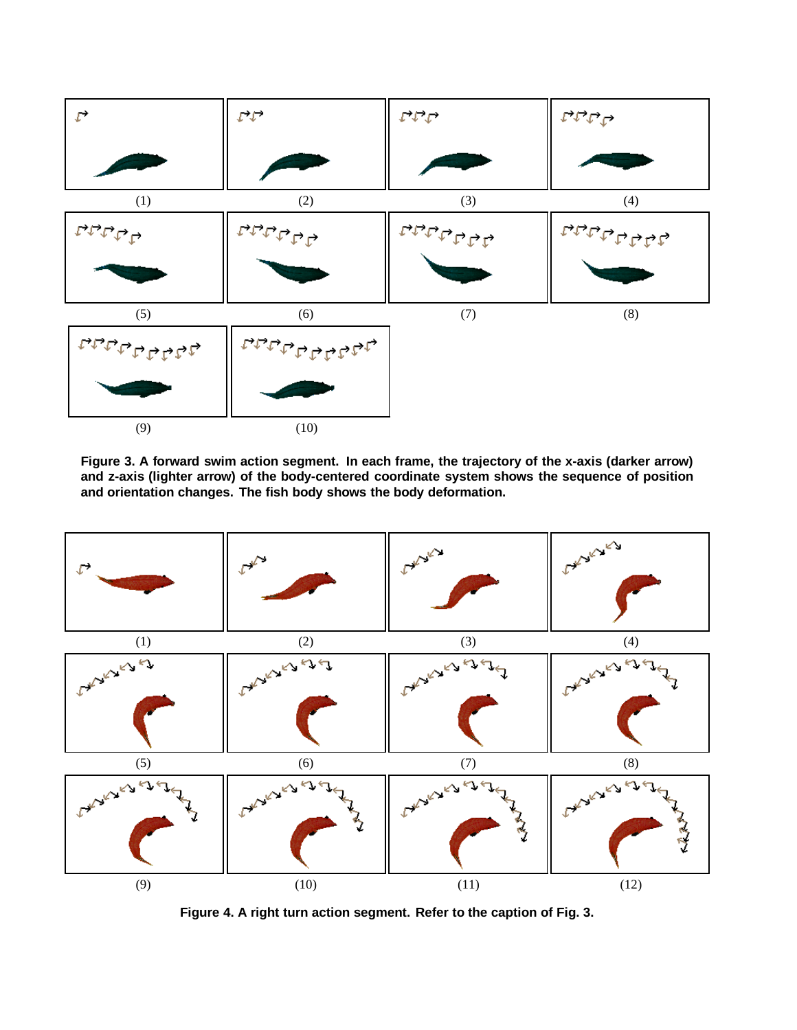

**Figure 3. A forward swim action segment. In each frame, the trajectory of the x-axis (darker arrow) and z-axis (lighter arrow) of the body-centered coordinate system shows the sequence of position and orientation changes. The fish body shows the body deformation.**



**Figure 4. A right turn action segment. Refer to the caption of Fig. 3.**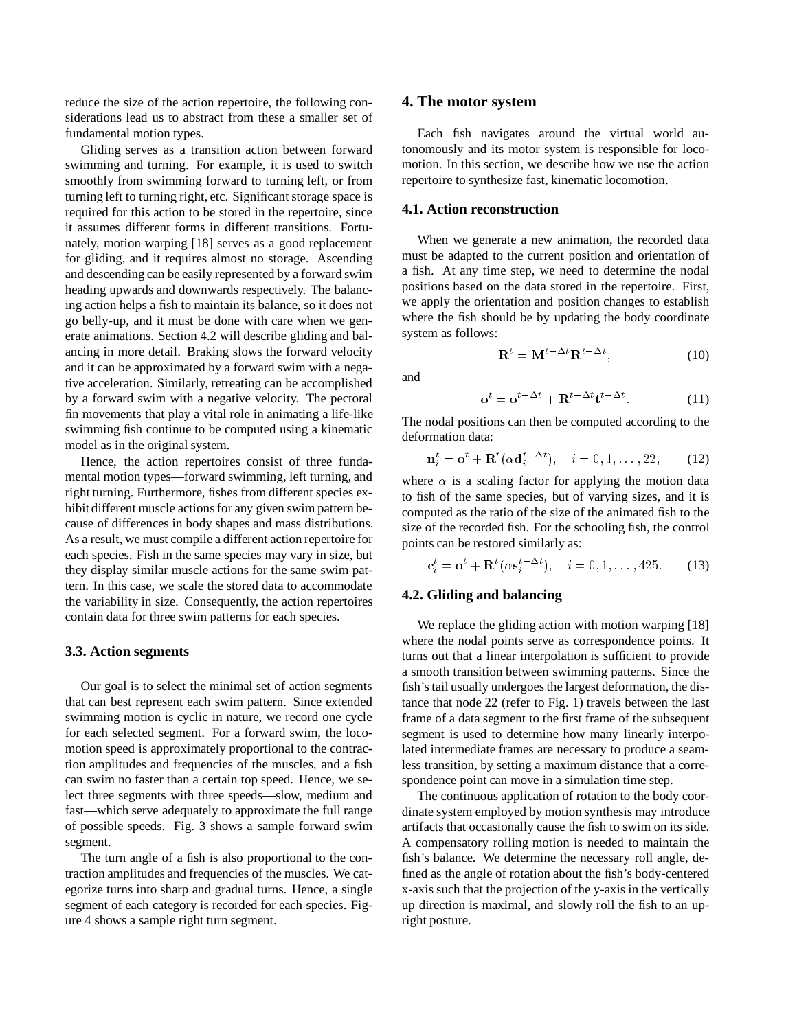reduce the size of the action repertoire, the following considerations lead us to abstract from these a smaller set of fundamental motion types.

Gliding serves as a transition action between forward swimming and turning. For example, it is used to switch smoothly from swimming forward to turning left, or from turning left to turning right, etc. Significant storage space is required for this action to be stored in the repertoire, since it assumes different forms in different transitions. Fortunately, motion warping [18] serves as a good replacement for gliding, and it requires almost no storage. Ascending and descending can be easily represented by a forward swim heading upwards and downwards respectively. The balancing action helps a fish to maintain its balance, so it does not go belly-up, and it must be done with care when we generate animations. Section 4.2 will describe gliding and balancing in more detail. Braking slows the forward velocity and it can be approximated by a forward swim with a negative acceleration. Similarly, retreating can be accomplished by a forward swim with a negative velocity. The pectoral fin movements that play a vital role in animating a life-like swimming fish continue to be computed using a kinematic model as in the original system.

Hence, the action repertoires consist of three fundamental motion types—forward swimming, left turning, and right turning. Furthermore, fishes from different species exhibit different muscle actions for any given swim pattern because of differences in body shapes and mass distributions. As a result, we must compile a different action repertoire for each species. Fish in the same species may vary in size, but they display similar muscle actions for the same swim pattern. In this case, we scale the stored data to accommodate the variability in size. Consequently, the action repertoires contain data for three swim patterns for each species.

#### **3.3. Action segments**

Our goal is to select the minimal set of action segments that can best represent each swim pattern. Since extended swimming motion is cyclic in nature, we record one cycle for each selected segment. For a forward swim, the locomotion speed is approximately proportional to the contraction amplitudes and frequencies of the muscles, and a fish can swim no faster than a certain top speed. Hence, we select three segments with three speeds—slow, medium and fast—which serve adequately to approximate the full range of possible speeds. Fig. 3 shows a sample forward swim segment.

The turn angle of a fish is also proportional to the contraction amplitudes and frequencies of the muscles. We categorize turns into sharp and gradual turns. Hence, a single segment of each category is recorded for each species. Figure 4 shows a sample right turn segment.

#### **4. The motor system**

Each fish navigates around the virtual world autonomously and its motor system is responsible for locomotion. In this section, we describe how we use the action repertoire to synthesize fast, kinematic locomotion.

#### **4.1. Action reconstruction**

When we generate a new animation, the recorded data must be adapted to the current position and orientation of a fish. At any time step, we need to determine the nodal positions based on the data stored in the repertoire. First, we apply the orientation and position changes to establish where the fish should be by updating the body coordinate system as follows:

$$
\mathbf{R}^t = \mathbf{M}^{t - \Delta t} \mathbf{R}^{t - \Delta t},\tag{10}
$$

and

$$
\mathbf{o}^t = \mathbf{o}^{t-\Delta t} + \mathbf{R}^{t-\Delta t} \mathbf{t}^{t-\Delta t}.
$$
 (11)

The nodal positions can then be computed according to the deformation data:

$$
\mathbf{n}_i^t = \mathbf{o}^t + \mathbf{R}^t (\alpha \mathbf{d}_i^{t-\Delta t}), \quad i = 0, 1, \dots, 22, \tag{12}
$$

where  $\alpha$  is a scaling factor for applying the motion data to fish of the same species, but of varying sizes, and it is computed as the ratio of the size of the animated fish to the size of the recorded fish. For the schooling fish, the control points can be restored similarly as:

$$
\mathbf{c}_i^t = \mathbf{o}^t + \mathbf{R}^t (\alpha \mathbf{s}_i^{t-\Delta t}), \quad i = 0, 1, \dots, 425. \tag{13}
$$

### **4.2. Gliding and balancing**

We replace the gliding action with motion warping [18] where the nodal points serve as correspondence points. It turns out that a linear interpolation is sufficient to provide a smooth transition between swimming patterns. Since the fish's tail usually undergoes the largest deformation, the distance that node 22 (refer to Fig. 1) travels between the last frame of a data segment to the first frame of the subsequent segment is used to determine how many linearly interpolated intermediate frames are necessary to produce a seamless transition, by setting a maximum distance that a correspondence point can move in a simulation time step.

The continuous application of rotation to the body coordinate system employed by motion synthesis may introduce artifacts that occasionally cause the fish to swim on its side. A compensatory rolling motion is needed to maintain the fish's balance. We determine the necessary roll angle, defined as the angle of rotation about the fish's body-centered x-axis such that the projection of the y-axis in the vertically up direction is maximal, and slowly roll the fish to an upright posture.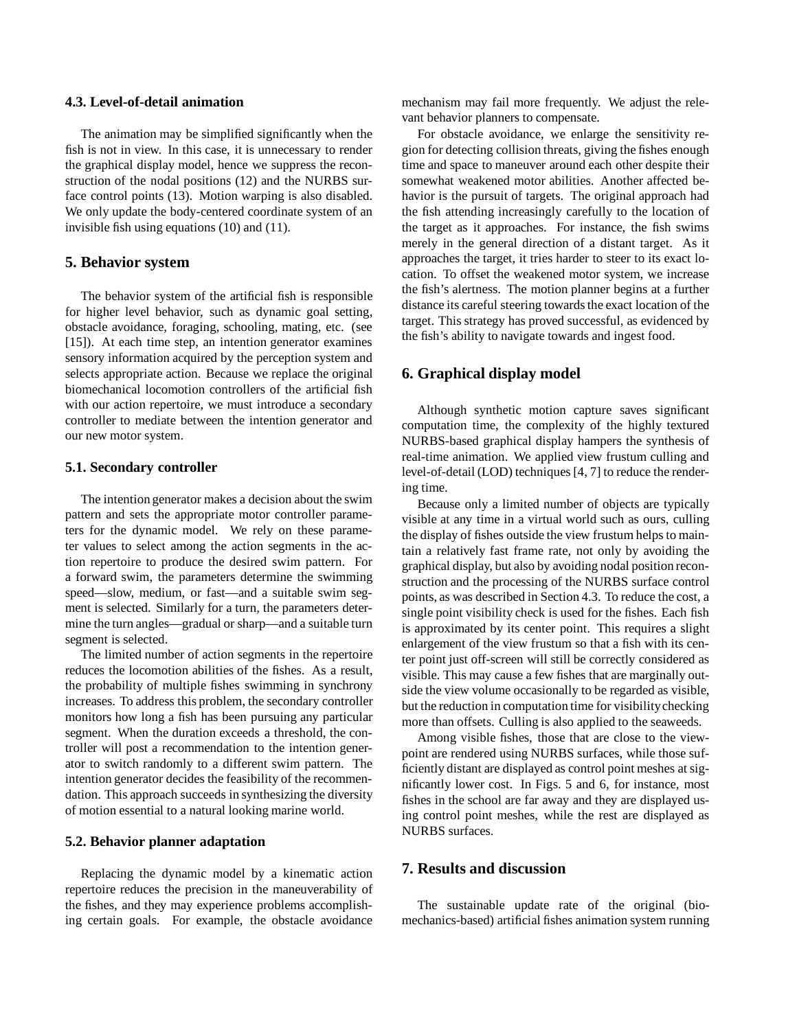#### **4.3. Level-of-detail animation**

The animation may be simplified significantly when the fish is not in view. In this case, it is unnecessary to render the graphical display model, hence we suppress the reconstruction of the nodal positions (12) and the NURBS surface control points (13). Motion warping is also disabled. We only update the body-centered coordinate system of an invisible fish using equations (10) and (11).

### **5. Behavior system**

The behavior system of the artificial fish is responsible for higher level behavior, such as dynamic goal setting, obstacle avoidance, foraging, schooling, mating, etc. (see [15]). At each time step, an intention generator examines sensory information acquired by the perception system and selects appropriate action. Because we replace the original biomechanical locomotion controllers of the artificial fish with our action repertoire, we must introduce a secondary controller to mediate between the intention generator and our new motor system.

#### **5.1. Secondary controller**

The intention generator makes a decision about the swim pattern and sets the appropriate motor controller parameters for the dynamic model. We rely on these parameter values to select among the action segments in the action repertoire to produce the desired swim pattern. For a forward swim, the parameters determine the swimming speed—slow, medium, or fast—and a suitable swim segment is selected. Similarly for a turn, the parameters determine the turn angles—gradual or sharp—and a suitable turn segment is selected.

The limited number of action segments in the repertoire reduces the locomotion abilities of the fishes. As a result, the probability of multiple fishes swimming in synchrony increases. To address this problem, the secondary controller monitors how long a fish has been pursuing any particular segment. When the duration exceeds a threshold, the controller will post a recommendation to the intention generator to switch randomly to a different swim pattern. The intention generator decides the feasibility of the recommendation. This approach succeeds in synthesizing the diversity of motion essential to a natural looking marine world.

#### **5.2. Behavior planner adaptation**

Replacing the dynamic model by a kinematic action repertoire reduces the precision in the maneuverability of the fishes, and they may experience problems accomplishing certain goals. For example, the obstacle avoidance mechanism may fail more frequently. We adjust the relevant behavior planners to compensate.

For obstacle avoidance, we enlarge the sensitivity region for detecting collision threats, giving the fishes enough time and space to maneuver around each other despite their somewhat weakened motor abilities. Another affected behavior is the pursuit of targets. The original approach had the fish attending increasingly carefully to the location of the target as it approaches. For instance, the fish swims merely in the general direction of a distant target. As it approaches the target, it tries harder to steer to its exact location. To offset the weakened motor system, we increase the fish's alertness. The motion planner begins at a further distance its careful steering towards the exact location of the target. This strategy has proved successful, as evidenced by the fish's ability to navigate towards and ingest food.

### **6. Graphical display model**

Although synthetic motion capture saves significant computation time, the complexity of the highly textured NURBS-based graphical display hampers the synthesis of real-time animation. We applied view frustum culling and level-of-detail (LOD) techniques [4, 7] to reduce the rendering time.

Because only a limited number of objects are typically visible at any time in a virtual world such as ours, culling the display of fishes outside the view frustum helps to maintain a relatively fast frame rate, not only by avoiding the graphical display, but also by avoiding nodal position reconstruction and the processing of the NURBS surface control points, as was described in Section 4.3. To reduce the cost, a single point visibility check is used for the fishes. Each fish is approximated by its center point. This requires a slight enlargement of the view frustum so that a fish with its center point just off-screen will still be correctly considered as visible. This may cause a few fishes that are marginally outside the view volume occasionally to be regarded as visible, but the reduction in computation time for visibilitychecking more than offsets. Culling is also applied to the seaweeds.

Among visible fishes, those that are close to the viewpoint are rendered using NURBS surfaces, while those sufficiently distant are displayed as control point meshes at significantly lower cost. In Figs. 5 and 6, for instance, most fishes in the school are far away and they are displayed using control point meshes, while the rest are displayed as NURBS surfaces.

### **7. Results and discussion**

The sustainable update rate of the original (biomechanics-based) artificial fishes animation system running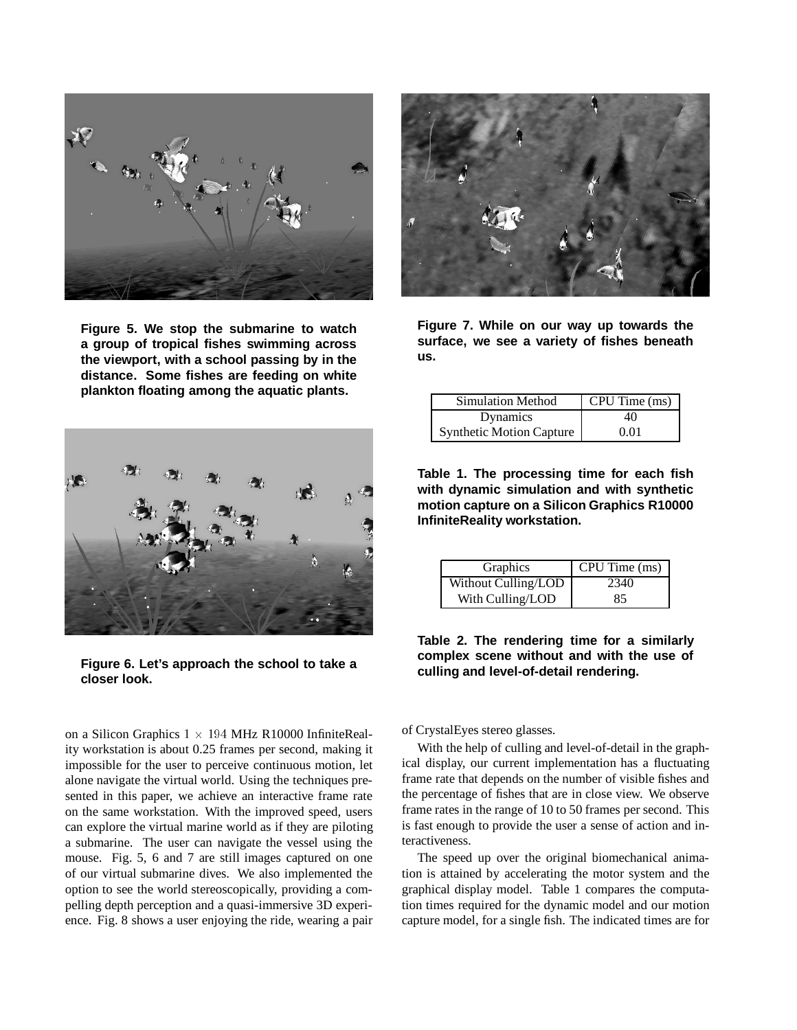

**Figure 5. We stop the submarine to watch a group of tropical fishes swimming across the viewport, with a school passing by in the distance. Some fishes are feeding on white plankton floating among the aquatic plants.**



**Figure 6. Let's approach the school to take a closer look.**

on a Silicon Graphics  $1 \times 194$  MHz R10000 InfiniteReality workstation is about 0.25 frames per second, making it impossible for the user to perceive continuous motion, let alone navigate the virtual world. Using the techniques presented in this paper, we achieve an interactive frame rate on the same workstation. With the improved speed, users can explore the virtual marine world as if they are piloting a submarine. The user can navigate the vessel using the mouse. Fig. 5, 6 and 7 are still images captured on one of our virtual submarine dives. We also implemented the option to see the world stereoscopically, providing a compelling depth perception and a quasi-immersive 3D experience. Fig. 8 shows a user enjoying the ride, wearing a pair



**Figure 7. While on our way up towards the surface, we see a variety of fishes beneath us.**

| Simulation Method               | CPU Time (ms) |
|---------------------------------|---------------|
| Dynamics                        | 40            |
| <b>Synthetic Motion Capture</b> | 0.01          |

**Table 1. The processing time for each fish with dynamic simulation and with synthetic motion capture on a Silicon Graphics R10000 InfiniteReality workstation.**

| Graphics            | CPU Time (ms) |
|---------------------|---------------|
| Without Culling/LOD | 2340          |
| With Culling/LOD    | 85            |

**Table 2. The rendering time for a similarly complex scene without and with the use of culling and level-of-detail rendering.**

of CrystalEyes stereo glasses.

With the help of culling and level-of-detail in the graphical display, our current implementation has a fluctuating frame rate that depends on the number of visible fishes and the percentage of fishes that are in close view. We observe frame rates in the range of 10 to 50 frames per second. This is fast enough to provide the user a sense of action and interactiveness.

The speed up over the original biomechanical animation is attained by accelerating the motor system and the graphical display model. Table 1 compares the computation times required for the dynamic model and our motion capture model, for a single fish. The indicated times are for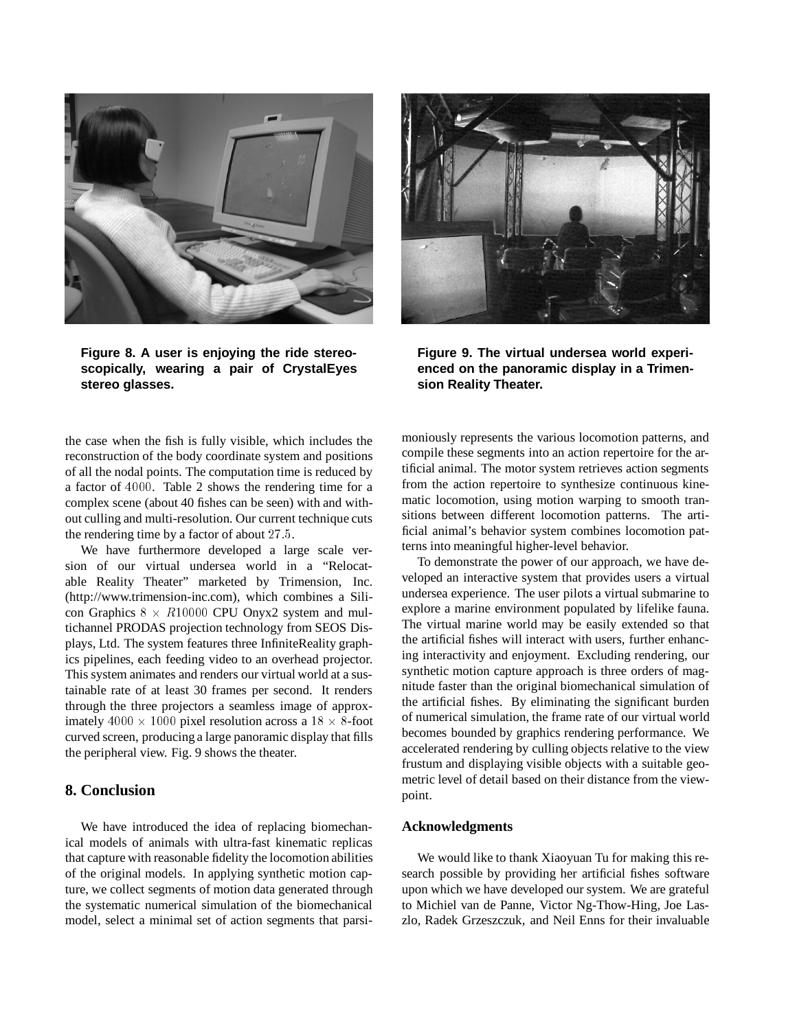

**Figure 8. A user is enjoying the ride stereoscopically, wearing a pair of CrystalEyes stereo glasses.**

the case when the fish is fully visible, which includes the reconstruction of the body coordinate system and positions of all the nodal points. The computation time is reduced by a factor of <sup>4000</sup>. Table 2 shows the rendering time for a complex scene (about 40 fishes can be seen) with and without culling and multi-resolution. Our current technique cuts the rendering time by a factor of about 27.5.

We have furthermore developed a large scale version of our virtual undersea world in a "Relocatable Reality Theater" marketed by Trimension, Inc. (http://www.trimension-inc.com), which combines a Silicon Graphics  $8 \times R10000$  CPU Onyx2 system and multichannel PRODAS projection technology from SEOS Displays, Ltd. The system features three InfiniteReality graphics pipelines, each feeding video to an overhead projector. This system animates and renders our virtual world at a sustainable rate of at least 30 frames per second. It renders through the three projectors a seamless image of approximately  $4000 \times 1000$  pixel resolution across a  $18 \times 8$ -foot curved screen, producing a large panoramic display that fills the peripheral view. Fig. 9 shows the theater.

## **8. Conclusion**

We have introduced the idea of replacing biomechanical models of animals with ultra-fast kinematic replicas that capture with reasonable fidelity the locomotion abilities of the original models. In applying synthetic motion capture, we collect segments of motion data generated through the systematic numerical simulation of the biomechanical model, select a minimal set of action segments that parsi-



**Figure 9. The virtual undersea world experienced on the panoramic display in a Trimension Reality Theater.**

moniously represents the various locomotion patterns, and compile these segments into an action repertoire for the artificial animal. The motor system retrieves action segments from the action repertoire to synthesize continuous kinematic locomotion, using motion warping to smooth transitions between different locomotion patterns. The artificial animal's behavior system combines locomotion patterns into meaningful higher-level behavior.

To demonstrate the power of our approach, we have developed an interactive system that provides users a virtual undersea experience. The user pilots a virtual submarine to explore a marine environment populated by lifelike fauna. The virtual marine world may be easily extended so that the artificial fishes will interact with users, further enhancing interactivity and enjoyment. Excluding rendering, our synthetic motion capture approach is three orders of magnitude faster than the original biomechanical simulation of the artificial fishes. By eliminating the significant burden of numerical simulation, the frame rate of our virtual world becomes bounded by graphics rendering performance. We accelerated rendering by culling objects relative to the view frustum and displaying visible objects with a suitable geometric level of detail based on their distance from the viewpoint.

#### **Acknowledgments**

We would like to thank Xiaoyuan Tu for making this research possible by providing her artificial fishes software upon which we have developed our system. We are grateful to Michiel van de Panne, Victor Ng-Thow-Hing, Joe Laszlo, Radek Grzeszczuk, and Neil Enns for their invaluable